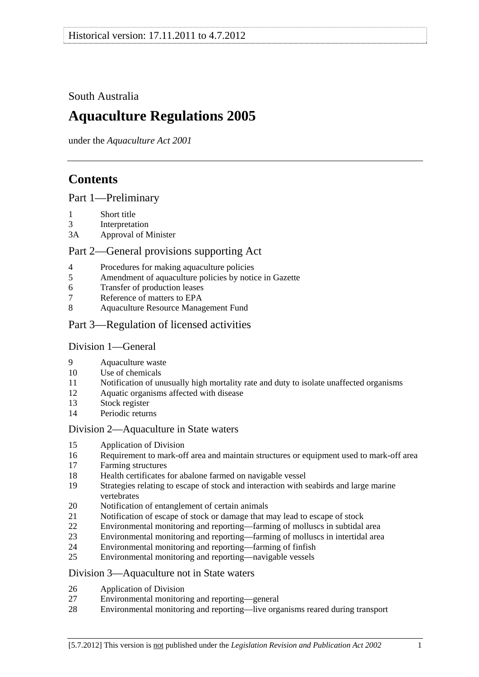# <span id="page-0-0"></span>South Australia

# **Aquaculture Regulations 2005**

under the *Aquaculture Act 2001*

# **Contents**

[Part 1—Preliminary](#page-1-0)

- [1 Short title](#page-1-0)
- [3 Interpretation](#page-1-0)
- [3A Approval of Minister](#page-2-0)

## [Part 2—General provisions supporting Act](#page-3-0)

- [4 Procedures for making aquaculture policies](#page-3-0)
- [5 Amendment of aquaculture policies by notice in Gazette](#page-3-0)
- [6 Transfer of production leases](#page-4-0)
- [7 Reference of matters to EPA](#page-4-0)
- [8 Aquaculture Resource Management Fund](#page-4-0)
- [Part 3—Regulation of licensed activities](#page-4-0)

## [Division 1—General](#page-4-0)

- [9 Aquaculture waste](#page-4-0)
- [10 Use of chemicals](#page-4-0)
- [11 Notification of unusually high mortality rate and duty to isolate unaffected organisms](#page-5-0)
- [12 Aquatic organisms affected with disease](#page-6-0)
- [13 Stock register](#page-6-0)
- [14 Periodic returns](#page-8-0)

## [Division 2—Aquaculture in State waters](#page-8-0)

- [15 Application of Division](#page-8-0)
- [16 Requirement to mark-off area and maintain structures or equipment used to mark-off area](#page-8-0)
- [17 Farming structures](#page-9-0)
- [18 Health certificates for abalone farmed on navigable vessel](#page-9-0)
- [19 Strategies relating to escape of stock and interaction with seabirds and large marine](#page-10-0)  [vertebrates](#page-10-0)
- [20 Notification of entanglement of certain animals](#page-11-0)
- [21 Notification of escape of stock or damage that may lead to escape of stock](#page-11-0)
- [22 Environmental monitoring and reporting—farming of molluscs in subtidal area](#page-12-0)
- [23 Environmental monitoring and reporting—farming of molluscs in intertidal area](#page-14-0)
- [24 Environmental monitoring and reporting—farming of finfish](#page-15-0)
- [25 Environmental monitoring and reporting—navigable vessels](#page-18-0)

## [Division 3—Aquaculture not in State waters](#page-19-0)

- [26 Application of Division](#page-19-0)
- [27 Environmental monitoring and reporting—general](#page-19-0)
- [28 Environmental monitoring and reporting—live organisms reared during transport](#page-21-0)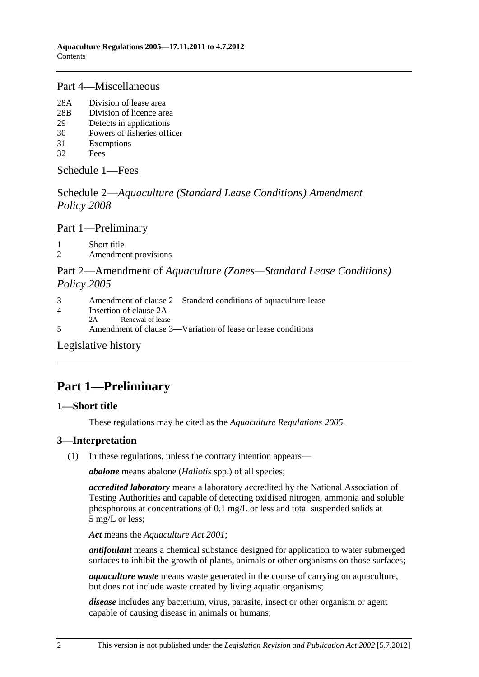## <span id="page-1-0"></span>[Part 4—Miscellaneous](#page-22-0)

- [28A Division of lease area](#page-22-0)
- [28B Division of licence area](#page-23-0)
- [29 Defects in applications](#page-24-0)
- [30 Powers of fisheries officer](#page-24-0)
- [31 Exemptions](#page-24-0)
- [32 Fees](#page-25-0)

[Schedule 1—Fees](#page-27-0)

Schedule 2—*[Aquaculture \(Standard Lease Conditions\) Amendment](#page-29-0)  [Policy 2008](#page-29-0)*

[Part 1—Preliminary](#page-0-0)

[1 Short title](#page-29-0) 

[2 Amendment provisions](#page-29-0) 

## Part 2—Amendment of *[Aquaculture \(Zones—Standard Lease Conditions\)](#page-0-0)  [Policy 2005](#page-0-0)*

- [3 Amendment of clause 2—Standard conditions of aquaculture lease](#page-29-0)
- [4 Insertion of clause 2A](#page-30-0)
- [2A Renewal of lease](#page-0-0)
- [5 Amendment of clause 3—Variation of lease or lease conditions](#page-30-0)

[Legislative history](#page-31-0) 

# **Part 1—Preliminary**

## **1—Short title**

These regulations may be cited as the *Aquaculture Regulations 2005*.

## **3—Interpretation**

(1) In these regulations, unless the contrary intention appears—

*abalone* means abalone (*Haliotis* spp.) of all species;

*accredited laboratory* means a laboratory accredited by the National Association of Testing Authorities and capable of detecting oxidised nitrogen, ammonia and soluble phosphorous at concentrations of 0.1 mg/L or less and total suspended solids at 5 mg/L or less;

*Act* means the *[Aquaculture Act 2001](http://www.legislation.sa.gov.au/index.aspx?action=legref&type=act&legtitle=Aquaculture%20Act%202001)*;

*antifoulant* means a chemical substance designed for application to water submerged surfaces to inhibit the growth of plants, animals or other organisms on those surfaces;

*aquaculture waste* means waste generated in the course of carrying on aquaculture, but does not include waste created by living aquatic organisms;

*disease* includes any bacterium, virus, parasite, insect or other organism or agent capable of causing disease in animals or humans;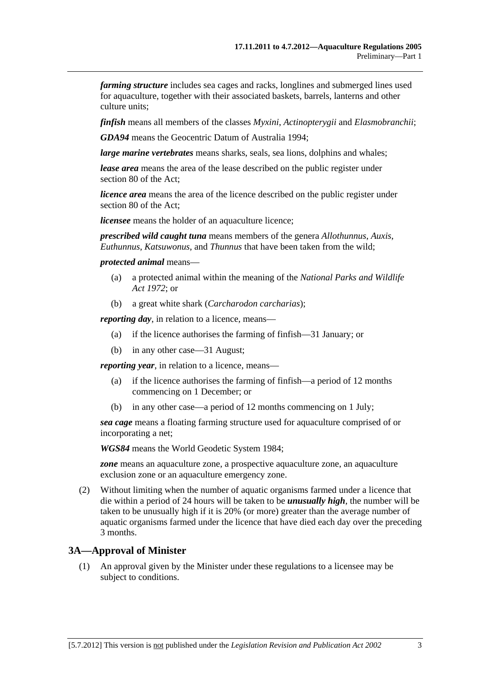<span id="page-2-0"></span>*farming structure* includes sea cages and racks, longlines and submerged lines used for aquaculture, together with their associated baskets, barrels, lanterns and other culture units;

*finfish* means all members of the classes *Myxini*, *Actinopterygii* and *Elasmobranchii*;

*GDA94* means the Geocentric Datum of Australia 1994;

*large marine vertebrates* means sharks, seals, sea lions, dolphins and whales;

*lease area* means the area of the lease described on the public register under section 80 of the Act;

*licence area* means the area of the licence described on the public register under section 80 of the Act;

*licensee* means the holder of an aquaculture licence;

*prescribed wild caught tuna* means members of the genera *Allothunnus*, *Auxis*, *Euthunnus*, *Katsuwonus*, and *Thunnus* that have been taken from the wild;

*protected animal* means—

- (a) a protected animal within the meaning of the *[National Parks and Wildlife](http://www.legislation.sa.gov.au/index.aspx?action=legref&type=act&legtitle=National%20Parks%20and%20Wildlife%20Act%201972)  [Act 1972](http://www.legislation.sa.gov.au/index.aspx?action=legref&type=act&legtitle=National%20Parks%20and%20Wildlife%20Act%201972)*; or
- (b) a great white shark (*Carcharodon carcharias*);

*reporting day*, in relation to a licence, means—

- (a) if the licence authorises the farming of finfish—31 January; or
- (b) in any other case—31 August;

*reporting year,* in relation to a licence, means—

- (a) if the licence authorises the farming of finfish—a period of 12 months commencing on 1 December; or
- (b) in any other case—a period of 12 months commencing on 1 July;

*sea cage* means a floating farming structure used for aquaculture comprised of or incorporating a net;

*WGS84* means the World Geodetic System 1984;

*zone* means an aquaculture zone, a prospective aquaculture zone, an aquaculture exclusion zone or an aquaculture emergency zone.

 (2) Without limiting when the number of aquatic organisms farmed under a licence that die within a period of 24 hours will be taken to be *unusually high*, the number will be taken to be unusually high if it is 20% (or more) greater than the average number of aquatic organisms farmed under the licence that have died each day over the preceding 3 months.

#### **3A—Approval of Minister**

 (1) An approval given by the Minister under these regulations to a licensee may be subject to conditions.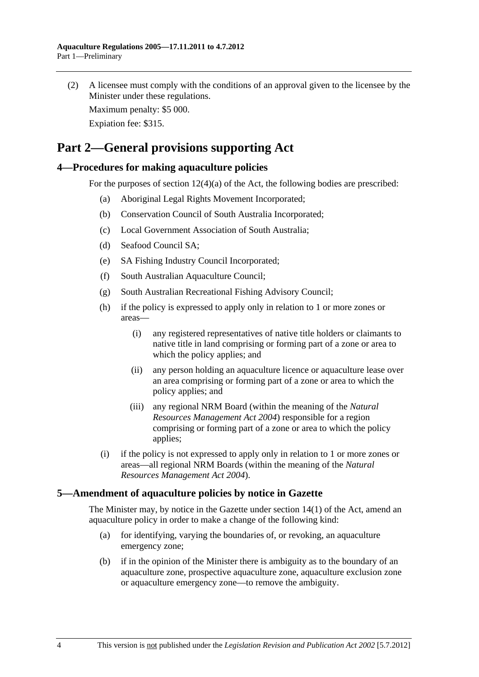<span id="page-3-0"></span> (2) A licensee must comply with the conditions of an approval given to the licensee by the Minister under these regulations.

Maximum penalty: \$5 000.

Expiation fee: \$315.

# **Part 2—General provisions supporting Act**

## **4—Procedures for making aquaculture policies**

For the purposes of section 12(4)(a) of the Act, the following bodies are prescribed:

- (a) Aboriginal Legal Rights Movement Incorporated;
- (b) Conservation Council of South Australia Incorporated;
- (c) Local Government Association of South Australia;
- (d) Seafood Council SA;
- (e) SA Fishing Industry Council Incorporated;
- (f) South Australian Aquaculture Council;
- (g) South Australian Recreational Fishing Advisory Council;
- (h) if the policy is expressed to apply only in relation to 1 or more zones or areas—
	- (i) any registered representatives of native title holders or claimants to native title in land comprising or forming part of a zone or area to which the policy applies; and
	- (ii) any person holding an aquaculture licence or aquaculture lease over an area comprising or forming part of a zone or area to which the policy applies; and
	- (iii) any regional NRM Board (within the meaning of the *[Natural](http://www.legislation.sa.gov.au/index.aspx?action=legref&type=act&legtitle=Natural%20Resources%20Management%20Act%202004)  [Resources Management Act 2004](http://www.legislation.sa.gov.au/index.aspx?action=legref&type=act&legtitle=Natural%20Resources%20Management%20Act%202004)*) responsible for a region comprising or forming part of a zone or area to which the policy applies;
- (i) if the policy is not expressed to apply only in relation to 1 or more zones or areas—all regional NRM Boards (within the meaning of the *[Natural](http://www.legislation.sa.gov.au/index.aspx?action=legref&type=act&legtitle=Natural%20Resources%20Management%20Act%202004)  [Resources Management Act 2004](http://www.legislation.sa.gov.au/index.aspx?action=legref&type=act&legtitle=Natural%20Resources%20Management%20Act%202004)*).

## **5—Amendment of aquaculture policies by notice in Gazette**

The Minister may, by notice in the Gazette under section 14(1) of the Act, amend an aquaculture policy in order to make a change of the following kind:

- (a) for identifying, varying the boundaries of, or revoking, an aquaculture emergency zone;
- (b) if in the opinion of the Minister there is ambiguity as to the boundary of an aquaculture zone, prospective aquaculture zone, aquaculture exclusion zone or aquaculture emergency zone—to remove the ambiguity.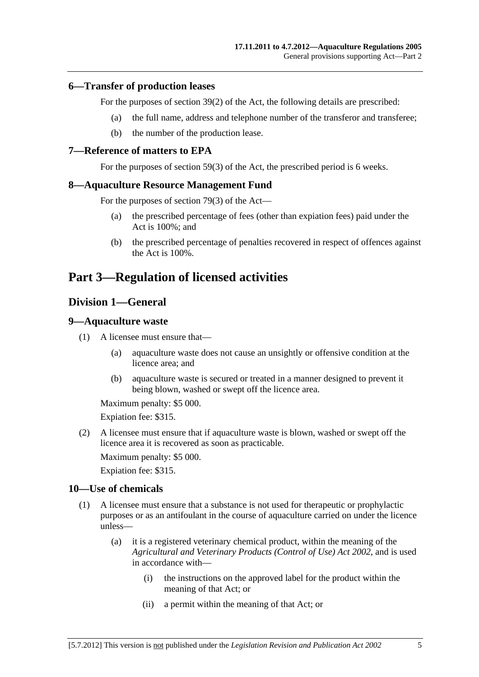### <span id="page-4-0"></span>**6—Transfer of production leases**

For the purposes of section 39(2) of the Act, the following details are prescribed:

- (a) the full name, address and telephone number of the transferor and transferee;
- (b) the number of the production lease.

#### **7—Reference of matters to EPA**

For the purposes of section 59(3) of the Act, the prescribed period is 6 weeks.

#### **8—Aquaculture Resource Management Fund**

For the purposes of section 79(3) of the Act—

- (a) the prescribed percentage of fees (other than expiation fees) paid under the Act is 100%; and
- (b) the prescribed percentage of penalties recovered in respect of offences against the Act is 100%.

# **Part 3—Regulation of licensed activities**

## **Division 1—General**

#### **9—Aquaculture waste**

- (1) A licensee must ensure that—
	- (a) aquaculture waste does not cause an unsightly or offensive condition at the licence area; and
	- (b) aquaculture waste is secured or treated in a manner designed to prevent it being blown, washed or swept off the licence area.

Maximum penalty: \$5 000.

Expiation fee: \$315.

 (2) A licensee must ensure that if aquaculture waste is blown, washed or swept off the licence area it is recovered as soon as practicable.

Maximum penalty: \$5 000.

Expiation fee: \$315.

#### **10—Use of chemicals**

- (1) A licensee must ensure that a substance is not used for therapeutic or prophylactic purposes or as an antifoulant in the course of aquaculture carried on under the licence unless—
	- (a) it is a registered veterinary chemical product, within the meaning of the *[Agricultural and Veterinary Products \(Control of Use\) Act 2002](http://www.legislation.sa.gov.au/index.aspx?action=legref&type=act&legtitle=Agricultural%20and%20Veterinary%20Products%20(Control%20of%20Use)%20Act%202002)*, and is used in accordance with—
		- (i) the instructions on the approved label for the product within the meaning of that Act; or
		- (ii) a permit within the meaning of that Act; or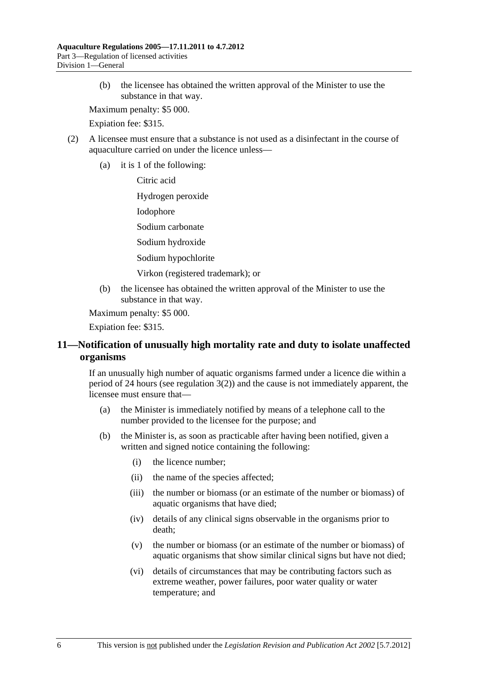<span id="page-5-0"></span> (b) the licensee has obtained the written approval of the Minister to use the substance in that way.

Maximum penalty: \$5 000.

Expiation fee: \$315.

- (2) A licensee must ensure that a substance is not used as a disinfectant in the course of aquaculture carried on under the licence unless—
	- (a) it is 1 of the following:

Citric acid

Hydrogen peroxide

Iodophore

Sodium carbonate

Sodium hydroxide

Sodium hypochlorite

Virkon (registered trademark); or

 (b) the licensee has obtained the written approval of the Minister to use the substance in that way.

Maximum penalty: \$5 000.

Expiation fee: \$315.

## **11—Notification of unusually high mortality rate and duty to isolate unaffected organisms**

If an unusually high number of aquatic organisms farmed under a licence die within a period of 24 hours (see regulation  $3(2)$ ) and the cause is not immediately apparent, the licensee must ensure that—

- (a) the Minister is immediately notified by means of a telephone call to the number provided to the licensee for the purpose; and
- (b) the Minister is, as soon as practicable after having been notified, given a written and signed notice containing the following:
	- (i) the licence number;
	- (ii) the name of the species affected;
	- (iii) the number or biomass (or an estimate of the number or biomass) of aquatic organisms that have died;
	- (iv) details of any clinical signs observable in the organisms prior to death;
	- (v) the number or biomass (or an estimate of the number or biomass) of aquatic organisms that show similar clinical signs but have not died;
	- (vi) details of circumstances that may be contributing factors such as extreme weather, power failures, poor water quality or water temperature; and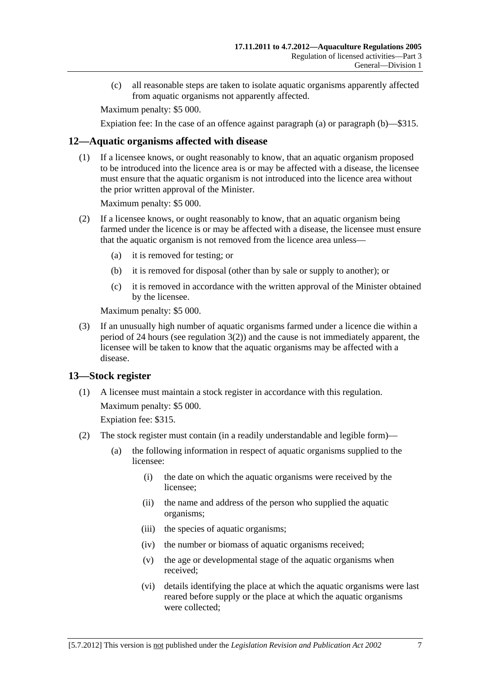<span id="page-6-0"></span> (c) all reasonable steps are taken to isolate aquatic organisms apparently affected from aquatic organisms not apparently affected.

Maximum penalty: \$5 000.

Expiation fee: In the case of an offence against [paragraph \(a\)](#page-5-0) or [paragraph \(b\)—](#page-5-0)\$315.

## **12—Aquatic organisms affected with disease**

 (1) If a licensee knows, or ought reasonably to know, that an aquatic organism proposed to be introduced into the licence area is or may be affected with a disease, the licensee must ensure that the aquatic organism is not introduced into the licence area without the prior written approval of the Minister.

Maximum penalty: \$5 000.

- (2) If a licensee knows, or ought reasonably to know, that an aquatic organism being farmed under the licence is or may be affected with a disease, the licensee must ensure that the aquatic organism is not removed from the licence area unless—
	- (a) it is removed for testing; or
	- (b) it is removed for disposal (other than by sale or supply to another); or
	- (c) it is removed in accordance with the written approval of the Minister obtained by the licensee.

Maximum penalty: \$5 000.

 (3) If an unusually high number of aquatic organisms farmed under a licence die within a period of 24 hours (see [regulation 3\(2\)](#page-2-0)) and the cause is not immediately apparent, the licensee will be taken to know that the aquatic organisms may be affected with a disease.

## **13—Stock register**

 (1) A licensee must maintain a stock register in accordance with this regulation. Maximum penalty: \$5 000.

Expiation fee: \$315.

- (2) The stock register must contain (in a readily understandable and legible form)—
	- (a) the following information in respect of aquatic organisms supplied to the licensee:
		- (i) the date on which the aquatic organisms were received by the licensee;
		- (ii) the name and address of the person who supplied the aquatic organisms;
		- (iii) the species of aquatic organisms;
		- (iv) the number or biomass of aquatic organisms received;
		- (v) the age or developmental stage of the aquatic organisms when received;
		- (vi) details identifying the place at which the aquatic organisms were last reared before supply or the place at which the aquatic organisms were collected;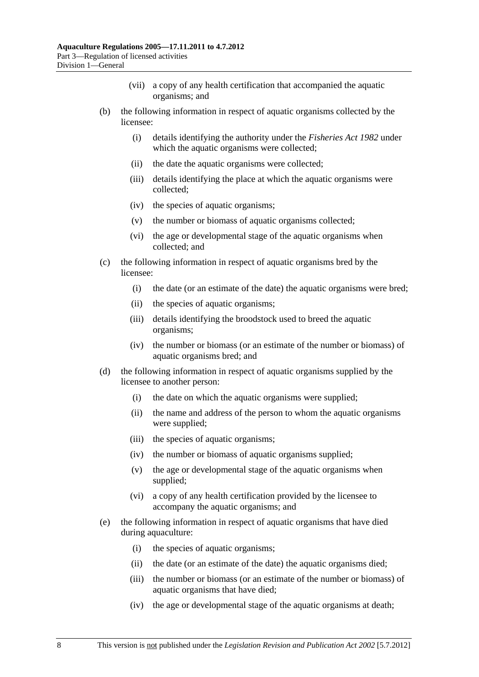- (vii) a copy of any health certification that accompanied the aquatic organisms; and
- (b) the following information in respect of aquatic organisms collected by the licensee:
	- (i) details identifying the authority under the *[Fisheries Act 1982](http://www.legislation.sa.gov.au/index.aspx?action=legref&type=act&legtitle=Fisheries%20Act%201982)* under which the aquatic organisms were collected;
	- (ii) the date the aquatic organisms were collected;
	- (iii) details identifying the place at which the aquatic organisms were collected;
	- (iv) the species of aquatic organisms;
	- (v) the number or biomass of aquatic organisms collected;
	- (vi) the age or developmental stage of the aquatic organisms when collected; and
- (c) the following information in respect of aquatic organisms bred by the licensee:
	- (i) the date (or an estimate of the date) the aquatic organisms were bred;
	- (ii) the species of aquatic organisms;
	- (iii) details identifying the broodstock used to breed the aquatic organisms;
	- (iv) the number or biomass (or an estimate of the number or biomass) of aquatic organisms bred; and
- (d) the following information in respect of aquatic organisms supplied by the licensee to another person:
	- (i) the date on which the aquatic organisms were supplied;
	- (ii) the name and address of the person to whom the aquatic organisms were supplied;
	- (iii) the species of aquatic organisms;
	- (iv) the number or biomass of aquatic organisms supplied;
	- (v) the age or developmental stage of the aquatic organisms when supplied;
	- (vi) a copy of any health certification provided by the licensee to accompany the aquatic organisms; and
- (e) the following information in respect of aquatic organisms that have died during aquaculture:
	- (i) the species of aquatic organisms;
	- (ii) the date (or an estimate of the date) the aquatic organisms died;
	- (iii) the number or biomass (or an estimate of the number or biomass) of aquatic organisms that have died;
	- (iv) the age or developmental stage of the aquatic organisms at death;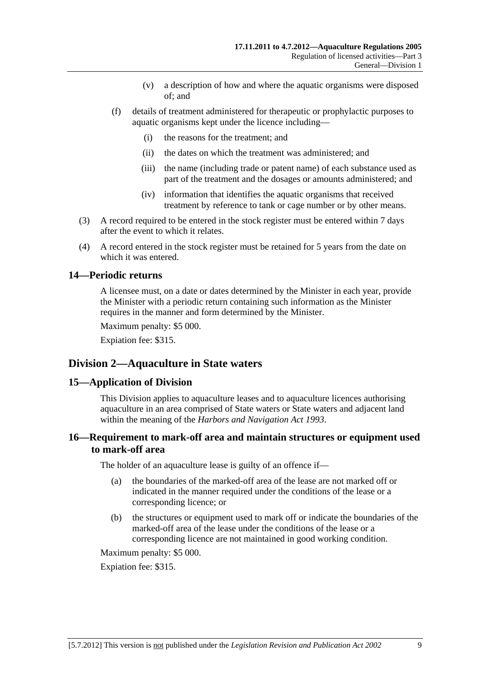- (v) a description of how and where the aquatic organisms were disposed of; and
- <span id="page-8-0"></span> (f) details of treatment administered for therapeutic or prophylactic purposes to aquatic organisms kept under the licence including—
	- (i) the reasons for the treatment; and
	- (ii) the dates on which the treatment was administered; and
	- (iii) the name (including trade or patent name) of each substance used as part of the treatment and the dosages or amounts administered; and
	- (iv) information that identifies the aquatic organisms that received treatment by reference to tank or cage number or by other means.
- (3) A record required to be entered in the stock register must be entered within 7 days after the event to which it relates.
- (4) A record entered in the stock register must be retained for 5 years from the date on which it was entered.

### **14—Periodic returns**

A licensee must, on a date or dates determined by the Minister in each year, provide the Minister with a periodic return containing such information as the Minister requires in the manner and form determined by the Minister.

Maximum penalty: \$5 000.

Expiation fee: \$315.

## **Division 2—Aquaculture in State waters**

#### **15—Application of Division**

This Division applies to aquaculture leases and to aquaculture licences authorising aquaculture in an area comprised of State waters or State waters and adjacent land within the meaning of the *[Harbors and Navigation Act 1993](http://www.legislation.sa.gov.au/index.aspx?action=legref&type=act&legtitle=Harbors%20and%20Navigation%20Act%201993)*.

## **16—Requirement to mark-off area and maintain structures or equipment used to mark-off area**

The holder of an aquaculture lease is guilty of an offence if—

- (a) the boundaries of the marked-off area of the lease are not marked off or indicated in the manner required under the conditions of the lease or a corresponding licence; or
- (b) the structures or equipment used to mark off or indicate the boundaries of the marked-off area of the lease under the conditions of the lease or a corresponding licence are not maintained in good working condition.

Maximum penalty: \$5 000.

Expiation fee: \$315.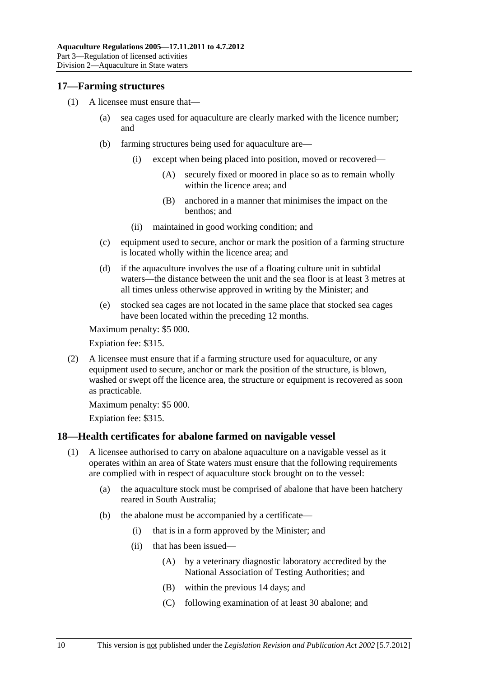### <span id="page-9-0"></span>**17—Farming structures**

- (1) A licensee must ensure that—
	- (a) sea cages used for aquaculture are clearly marked with the licence number; and
	- (b) farming structures being used for aquaculture are—
		- (i) except when being placed into position, moved or recovered—
			- (A) securely fixed or moored in place so as to remain wholly within the licence area; and
			- (B) anchored in a manner that minimises the impact on the benthos; and
		- (ii) maintained in good working condition; and
	- (c) equipment used to secure, anchor or mark the position of a farming structure is located wholly within the licence area; and
	- (d) if the aquaculture involves the use of a floating culture unit in subtidal waters—the distance between the unit and the sea floor is at least 3 metres at all times unless otherwise approved in writing by the Minister; and
	- (e) stocked sea cages are not located in the same place that stocked sea cages have been located within the preceding 12 months.

Maximum penalty: \$5 000.

Expiation fee: \$315.

 (2) A licensee must ensure that if a farming structure used for aquaculture, or any equipment used to secure, anchor or mark the position of the structure, is blown, washed or swept off the licence area, the structure or equipment is recovered as soon as practicable.

Maximum penalty: \$5 000.

Expiation fee: \$315.

## **18—Health certificates for abalone farmed on navigable vessel**

- (1) A licensee authorised to carry on abalone aquaculture on a navigable vessel as it operates within an area of State waters must ensure that the following requirements are complied with in respect of aquaculture stock brought on to the vessel:
	- (a) the aquaculture stock must be comprised of abalone that have been hatchery reared in South Australia;
	- (b) the abalone must be accompanied by a certificate—
		- (i) that is in a form approved by the Minister; and
		- (ii) that has been issued—
			- (A) by a veterinary diagnostic laboratory accredited by the National Association of Testing Authorities; and
			- (B) within the previous 14 days; and
			- (C) following examination of at least 30 abalone; and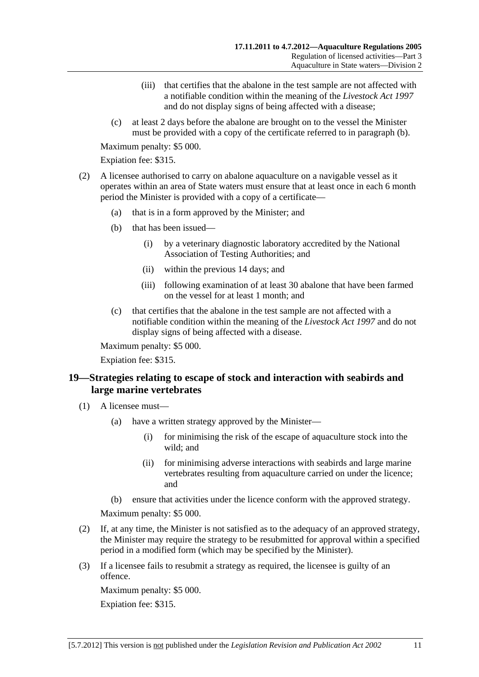- <span id="page-10-0"></span> (iii) that certifies that the abalone in the test sample are not affected with a notifiable condition within the meaning of the *[Livestock Act 1997](http://www.legislation.sa.gov.au/index.aspx?action=legref&type=act&legtitle=Livestock%20Act%201997)* and do not display signs of being affected with a disease;
- (c) at least 2 days before the abalone are brought on to the vessel the Minister must be provided with a copy of the certificate referred to in [paragraph \(b\)](#page-9-0).

Expiation fee: \$315.

- (2) A licensee authorised to carry on abalone aquaculture on a navigable vessel as it operates within an area of State waters must ensure that at least once in each 6 month period the Minister is provided with a copy of a certificate—
	- (a) that is in a form approved by the Minister; and
	- (b) that has been issued—
		- (i) by a veterinary diagnostic laboratory accredited by the National Association of Testing Authorities; and
		- (ii) within the previous 14 days; and
		- (iii) following examination of at least 30 abalone that have been farmed on the vessel for at least 1 month; and
	- (c) that certifies that the abalone in the test sample are not affected with a notifiable condition within the meaning of the *[Livestock Act 1997](http://www.legislation.sa.gov.au/index.aspx?action=legref&type=act&legtitle=Livestock%20Act%201997)* and do not display signs of being affected with a disease.

Maximum penalty: \$5 000.

Expiation fee: \$315.

## **19—Strategies relating to escape of stock and interaction with seabirds and large marine vertebrates**

- (1) A licensee must—
	- (a) have a written strategy approved by the Minister—
		- (i) for minimising the risk of the escape of aquaculture stock into the wild; and
		- (ii) for minimising adverse interactions with seabirds and large marine vertebrates resulting from aquaculture carried on under the licence; and
	- (b) ensure that activities under the licence conform with the approved strategy.

Maximum penalty: \$5 000.

- (2) If, at any time, the Minister is not satisfied as to the adequacy of an approved strategy, the Minister may require the strategy to be resubmitted for approval within a specified period in a modified form (which may be specified by the Minister).
- (3) If a licensee fails to resubmit a strategy as required, the licensee is guilty of an offence.

Maximum penalty: \$5 000. Expiation fee: \$315.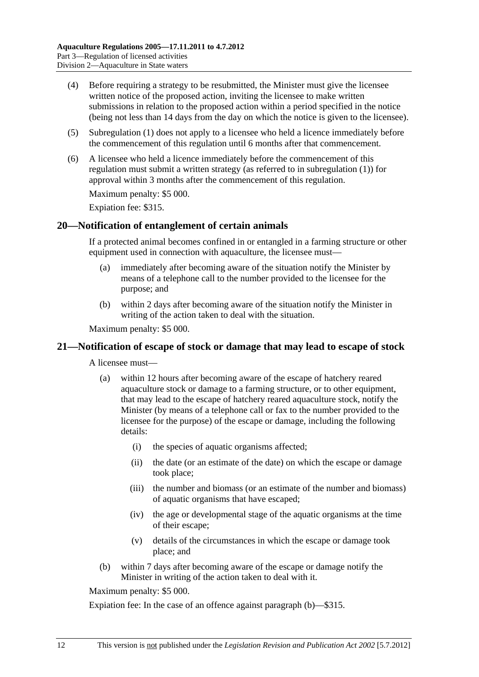- <span id="page-11-0"></span> (4) Before requiring a strategy to be resubmitted, the Minister must give the licensee written notice of the proposed action, inviting the licensee to make written submissions in relation to the proposed action within a period specified in the notice (being not less than 14 days from the day on which the notice is given to the licensee).
- (5) [Subregulation \(1\)](#page-10-0) does not apply to a licensee who held a licence immediately before the commencement of this regulation until 6 months after that commencement.
- (6) A licensee who held a licence immediately before the commencement of this regulation must submit a written strategy (as referred to in [subregulation \(1\)](#page-10-0)) for approval within 3 months after the commencement of this regulation.

Expiation fee: \$315.

### **20—Notification of entanglement of certain animals**

If a protected animal becomes confined in or entangled in a farming structure or other equipment used in connection with aquaculture, the licensee must-

- (a) immediately after becoming aware of the situation notify the Minister by means of a telephone call to the number provided to the licensee for the purpose; and
- (b) within 2 days after becoming aware of the situation notify the Minister in writing of the action taken to deal with the situation.

Maximum penalty: \$5 000.

#### **21—Notification of escape of stock or damage that may lead to escape of stock**

A licensee must—

- (a) within 12 hours after becoming aware of the escape of hatchery reared aquaculture stock or damage to a farming structure, or to other equipment, that may lead to the escape of hatchery reared aquaculture stock, notify the Minister (by means of a telephone call or fax to the number provided to the licensee for the purpose) of the escape or damage, including the following details:
	- (i) the species of aquatic organisms affected;
	- (ii) the date (or an estimate of the date) on which the escape or damage took place;
	- (iii) the number and biomass (or an estimate of the number and biomass) of aquatic organisms that have escaped;
	- (iv) the age or developmental stage of the aquatic organisms at the time of their escape;
	- (v) details of the circumstances in which the escape or damage took place; and
- (b) within 7 days after becoming aware of the escape or damage notify the Minister in writing of the action taken to deal with it.

Maximum penalty: \$5 000.

Expiation fee: In the case of an offence against [paragraph \(b\)—](#page-11-0)\$315.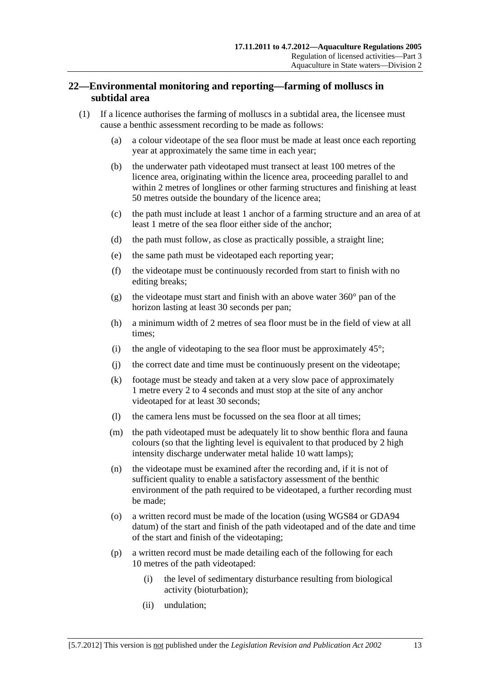## <span id="page-12-0"></span>**22—Environmental monitoring and reporting—farming of molluscs in subtidal area**

- (1) If a licence authorises the farming of molluscs in a subtidal area, the licensee must cause a benthic assessment recording to be made as follows:
	- (a) a colour videotape of the sea floor must be made at least once each reporting year at approximately the same time in each year;
	- (b) the underwater path videotaped must transect at least 100 metres of the licence area, originating within the licence area, proceeding parallel to and within 2 metres of longlines or other farming structures and finishing at least 50 metres outside the boundary of the licence area;
	- (c) the path must include at least 1 anchor of a farming structure and an area of at least 1 metre of the sea floor either side of the anchor;
	- (d) the path must follow, as close as practically possible, a straight line;
	- (e) the same path must be videotaped each reporting year;
	- (f) the videotape must be continuously recorded from start to finish with no editing breaks;
	- (g) the videotape must start and finish with an above water  $360^{\circ}$  pan of the horizon lasting at least 30 seconds per pan;
	- (h) a minimum width of 2 metres of sea floor must be in the field of view at all times;
	- (i) the angle of videotaping to the sea floor must be approximately  $45^{\circ}$ ;
	- (j) the correct date and time must be continuously present on the videotape;
	- (k) footage must be steady and taken at a very slow pace of approximately 1 metre every 2 to 4 seconds and must stop at the site of any anchor videotaped for at least 30 seconds;
	- (l) the camera lens must be focussed on the sea floor at all times;
	- (m) the path videotaped must be adequately lit to show benthic flora and fauna colours (so that the lighting level is equivalent to that produced by 2 high intensity discharge underwater metal halide 10 watt lamps);
	- (n) the videotape must be examined after the recording and, if it is not of sufficient quality to enable a satisfactory assessment of the benthic environment of the path required to be videotaped, a further recording must be made;
	- (o) a written record must be made of the location (using WGS84 or GDA94 datum) of the start and finish of the path videotaped and of the date and time of the start and finish of the videotaping;
	- (p) a written record must be made detailing each of the following for each 10 metres of the path videotaped:
		- (i) the level of sedimentary disturbance resulting from biological activity (bioturbation);
		- (ii) undulation;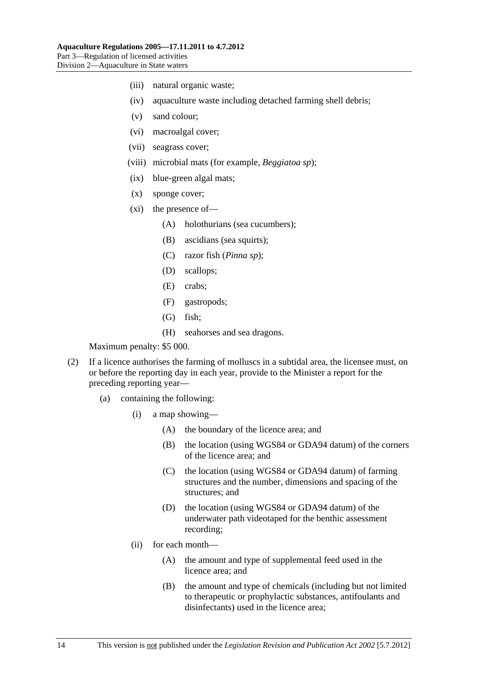- (iii) natural organic waste;
- (iv) aquaculture waste including detached farming shell debris;
- (v) sand colour;
- (vi) macroalgal cover;
- (vii) seagrass cover;
- (viii) microbial mats (for example, *Beggiatoa sp*);
- (ix) blue-green algal mats;
- (x) sponge cover;
- (xi) the presence of—
	- (A) holothurians (sea cucumbers);
	- (B) ascidians (sea squirts);
	- (C) razor fish (*Pinna sp*);
	- (D) scallops;
	- (E) crabs;
	- (F) gastropods;
	- (G) fish;
	- (H) seahorses and sea dragons.

- (2) If a licence authorises the farming of molluscs in a subtidal area, the licensee must, on or before the reporting day in each year, provide to the Minister a report for the preceding reporting year—
	- (a) containing the following:
		- (i) a map showing—
			- (A) the boundary of the licence area; and
			- (B) the location (using WGS84 or GDA94 datum) of the corners of the licence area; and
			- (C) the location (using WGS84 or GDA94 datum) of farming structures and the number, dimensions and spacing of the structures; and
			- (D) the location (using WGS84 or GDA94 datum) of the underwater path videotaped for the benthic assessment recording;
		- (ii) for each month—
			- (A) the amount and type of supplemental feed used in the licence area; and
			- (B) the amount and type of chemicals (including but not limited to therapeutic or prophylactic substances, antifoulants and disinfectants) used in the licence area;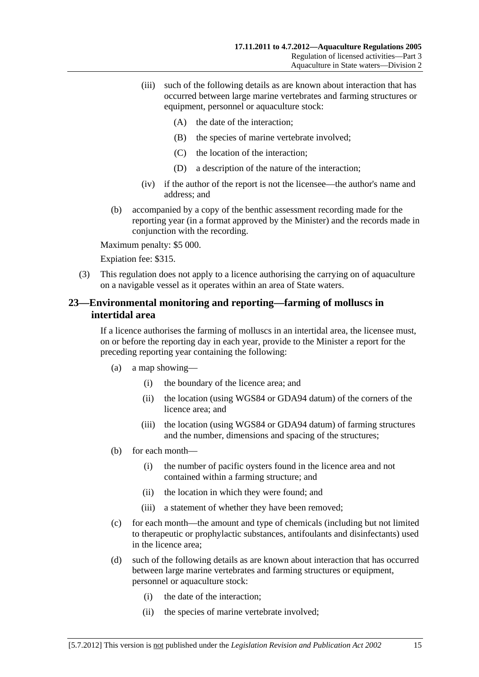- <span id="page-14-0"></span> (iii) such of the following details as are known about interaction that has occurred between large marine vertebrates and farming structures or equipment, personnel or aquaculture stock:
	- (A) the date of the interaction;
	- (B) the species of marine vertebrate involved;
	- (C) the location of the interaction;
	- (D) a description of the nature of the interaction;
- (iv) if the author of the report is not the licensee—the author's name and address; and
- (b) accompanied by a copy of the benthic assessment recording made for the reporting year (in a format approved by the Minister) and the records made in conjunction with the recording.

Expiation fee: \$315.

 (3) This regulation does not apply to a licence authorising the carrying on of aquaculture on a navigable vessel as it operates within an area of State waters.

## **23—Environmental monitoring and reporting—farming of molluscs in intertidal area**

If a licence authorises the farming of molluscs in an intertidal area, the licensee must, on or before the reporting day in each year, provide to the Minister a report for the preceding reporting year containing the following:

- (a) a map showing—
	- (i) the boundary of the licence area; and
	- (ii) the location (using WGS84 or GDA94 datum) of the corners of the licence area; and
	- (iii) the location (using WGS84 or GDA94 datum) of farming structures and the number, dimensions and spacing of the structures;
- (b) for each month—
	- (i) the number of pacific oysters found in the licence area and not contained within a farming structure; and
	- (ii) the location in which they were found; and
	- (iii) a statement of whether they have been removed;
- (c) for each month—the amount and type of chemicals (including but not limited to therapeutic or prophylactic substances, antifoulants and disinfectants) used in the licence area;
- (d) such of the following details as are known about interaction that has occurred between large marine vertebrates and farming structures or equipment, personnel or aquaculture stock:
	- (i) the date of the interaction;
	- (ii) the species of marine vertebrate involved;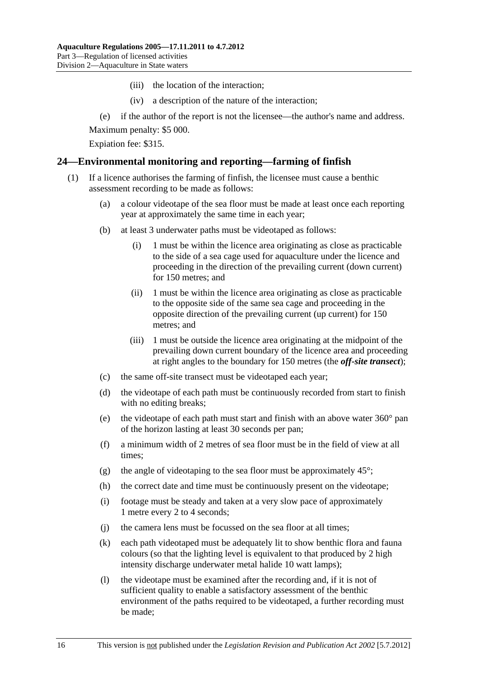- (iii) the location of the interaction;
- (iv) a description of the nature of the interaction;
- <span id="page-15-0"></span>(e) if the author of the report is not the licensee—the author's name and address.

Expiation fee: \$315.

### **24—Environmental monitoring and reporting—farming of finfish**

- (1) If a licence authorises the farming of finfish, the licensee must cause a benthic assessment recording to be made as follows:
	- (a) a colour videotape of the sea floor must be made at least once each reporting year at approximately the same time in each year;
	- (b) at least 3 underwater paths must be videotaped as follows:
		- (i) 1 must be within the licence area originating as close as practicable to the side of a sea cage used for aquaculture under the licence and proceeding in the direction of the prevailing current (down current) for 150 metres; and
		- (ii) 1 must be within the licence area originating as close as practicable to the opposite side of the same sea cage and proceeding in the opposite direction of the prevailing current (up current) for 150 metres; and
		- (iii) 1 must be outside the licence area originating at the midpoint of the prevailing down current boundary of the licence area and proceeding at right angles to the boundary for 150 metres (the *off-site transect*);
	- (c) the same off-site transect must be videotaped each year;
	- (d) the videotape of each path must be continuously recorded from start to finish with no editing breaks;
	- (e) the videotape of each path must start and finish with an above water 360° pan of the horizon lasting at least 30 seconds per pan;
	- (f) a minimum width of 2 metres of sea floor must be in the field of view at all times;
	- (g) the angle of videotaping to the sea floor must be approximately  $45^{\circ}$ ;
	- (h) the correct date and time must be continuously present on the videotape;
	- (i) footage must be steady and taken at a very slow pace of approximately 1 metre every 2 to 4 seconds;
	- (j) the camera lens must be focussed on the sea floor at all times;
	- (k) each path videotaped must be adequately lit to show benthic flora and fauna colours (so that the lighting level is equivalent to that produced by 2 high intensity discharge underwater metal halide 10 watt lamps);
	- (l) the videotape must be examined after the recording and, if it is not of sufficient quality to enable a satisfactory assessment of the benthic environment of the paths required to be videotaped, a further recording must be made;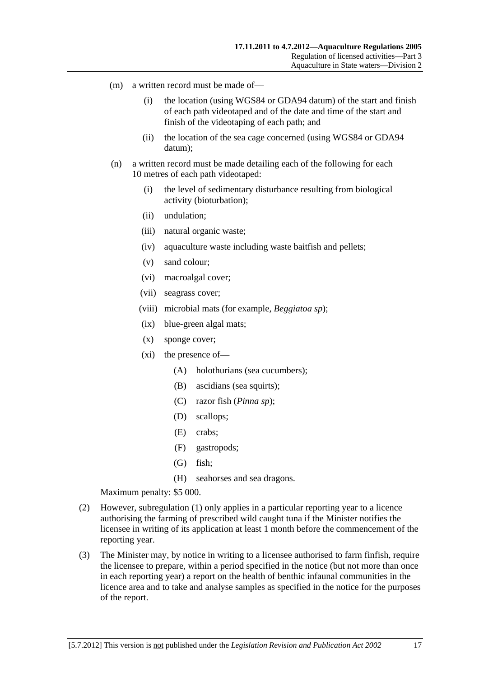- <span id="page-16-0"></span> (m) a written record must be made of—
	- (i) the location (using WGS84 or GDA94 datum) of the start and finish of each path videotaped and of the date and time of the start and finish of the videotaping of each path; and
	- (ii) the location of the sea cage concerned (using WGS84 or GDA94 datum);
- (n) a written record must be made detailing each of the following for each 10 metres of each path videotaped:
	- (i) the level of sedimentary disturbance resulting from biological activity (bioturbation);
	- (ii) undulation;
	- (iii) natural organic waste;
	- (iv) aquaculture waste including waste baitfish and pellets;
	- (v) sand colour;
	- (vi) macroalgal cover;
	- (vii) seagrass cover;
	- (viii) microbial mats (for example, *Beggiatoa sp*);
	- (ix) blue-green algal mats;
	- (x) sponge cover;
	- (xi) the presence of—
		- (A) holothurians (sea cucumbers);
		- (B) ascidians (sea squirts);
		- (C) razor fish (*Pinna sp*);
		- (D) scallops;
		- (E) crabs;
		- (F) gastropods;
		- (G) fish;
		- (H) seahorses and sea dragons.

- (2) However, [subregulation \(1\)](#page-15-0) only applies in a particular reporting year to a licence authorising the farming of prescribed wild caught tuna if the Minister notifies the licensee in writing of its application at least 1 month before the commencement of the reporting year.
- (3) The Minister may, by notice in writing to a licensee authorised to farm finfish, require the licensee to prepare, within a period specified in the notice (but not more than once in each reporting year) a report on the health of benthic infaunal communities in the licence area and to take and analyse samples as specified in the notice for the purposes of the report.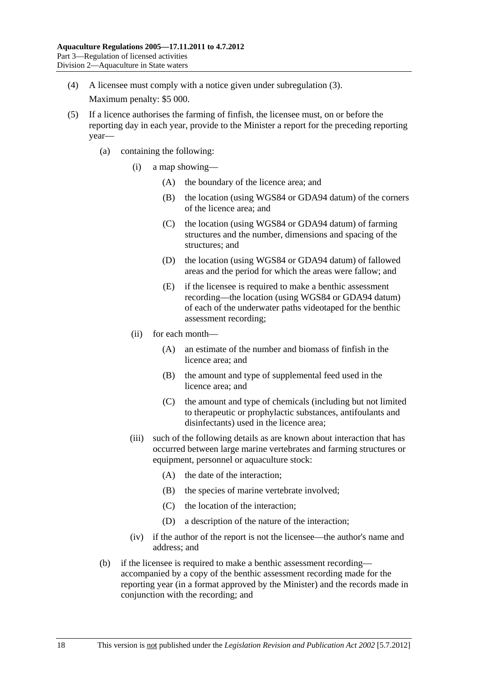- (4) A licensee must comply with a notice given under [subregulation \(3\).](#page-16-0) Maximum penalty: \$5 000.
- (5) If a licence authorises the farming of finfish, the licensee must, on or before the reporting day in each year, provide to the Minister a report for the preceding reporting year—
	- (a) containing the following:
		- (i) a map showing—
			- (A) the boundary of the licence area; and
			- (B) the location (using WGS84 or GDA94 datum) of the corners of the licence area; and
			- (C) the location (using WGS84 or GDA94 datum) of farming structures and the number, dimensions and spacing of the structures; and
			- (D) the location (using WGS84 or GDA94 datum) of fallowed areas and the period for which the areas were fallow; and
			- (E) if the licensee is required to make a benthic assessment recording—the location (using WGS84 or GDA94 datum) of each of the underwater paths videotaped for the benthic assessment recording;
		- (ii) for each month—
			- (A) an estimate of the number and biomass of finfish in the licence area; and
			- (B) the amount and type of supplemental feed used in the licence area; and
			- (C) the amount and type of chemicals (including but not limited to therapeutic or prophylactic substances, antifoulants and disinfectants) used in the licence area;
		- (iii) such of the following details as are known about interaction that has occurred between large marine vertebrates and farming structures or equipment, personnel or aquaculture stock:
			- (A) the date of the interaction;
			- (B) the species of marine vertebrate involved;
			- (C) the location of the interaction;
			- (D) a description of the nature of the interaction;
		- (iv) if the author of the report is not the licensee—the author's name and address; and
	- (b) if the licensee is required to make a benthic assessment recording accompanied by a copy of the benthic assessment recording made for the reporting year (in a format approved by the Minister) and the records made in conjunction with the recording; and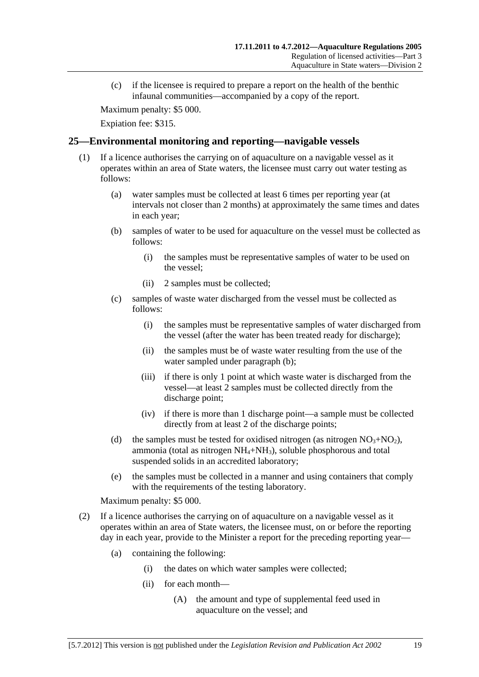<span id="page-18-0"></span> (c) if the licensee is required to prepare a report on the health of the benthic infaunal communities—accompanied by a copy of the report.

Maximum penalty: \$5 000.

Expiation fee: \$315.

## **25—Environmental monitoring and reporting—navigable vessels**

- (1) If a licence authorises the carrying on of aquaculture on a navigable vessel as it operates within an area of State waters, the licensee must carry out water testing as follows:
	- (a) water samples must be collected at least 6 times per reporting year (at intervals not closer than 2 months) at approximately the same times and dates in each year;
	- (b) samples of water to be used for aquaculture on the vessel must be collected as follows:
		- (i) the samples must be representative samples of water to be used on the vessel;
		- (ii) 2 samples must be collected;
	- (c) samples of waste water discharged from the vessel must be collected as follows:
		- (i) the samples must be representative samples of water discharged from the vessel (after the water has been treated ready for discharge);
		- (ii) the samples must be of waste water resulting from the use of the water sampled under [paragraph \(b\)](#page-18-0);
		- (iii) if there is only 1 point at which waste water is discharged from the vessel—at least 2 samples must be collected directly from the discharge point;
		- (iv) if there is more than 1 discharge point—a sample must be collected directly from at least 2 of the discharge points;
	- (d) the samples must be tested for oxidised nitrogen (as nitrogen  $NO<sub>3</sub>+NO<sub>2</sub>$ ), ammonia (total as nitrogen  $NH_4+NH_3$ ), soluble phosphorous and total suspended solids in an accredited laboratory;
	- (e) the samples must be collected in a manner and using containers that comply with the requirements of the testing laboratory.

Maximum penalty: \$5 000.

- (2) If a licence authorises the carrying on of aquaculture on a navigable vessel as it operates within an area of State waters, the licensee must, on or before the reporting day in each year, provide to the Minister a report for the preceding reporting year—
	- (a) containing the following:
		- (i) the dates on which water samples were collected;
		- (ii) for each month—
			- (A) the amount and type of supplemental feed used in aquaculture on the vessel; and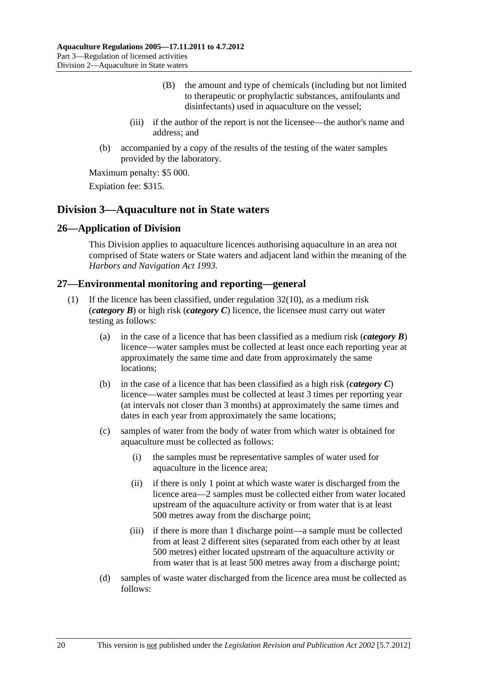- (B) the amount and type of chemicals (including but not limited to therapeutic or prophylactic substances, antifoulants and disinfectants) used in aquaculture on the vessel;
- <span id="page-19-0"></span> (iii) if the author of the report is not the licensee—the author's name and address; and
- (b) accompanied by a copy of the results of the testing of the water samples provided by the laboratory.

Expiation fee: \$315.

## **Division 3—Aquaculture not in State waters**

### **26—Application of Division**

This Division applies to aquaculture licences authorising aquaculture in an area not comprised of State waters or State waters and adjacent land within the meaning of the *[Harbors and Navigation Act 1993](http://www.legislation.sa.gov.au/index.aspx?action=legref&type=act&legtitle=Harbors%20and%20Navigation%20Act%201993)*.

### **27—Environmental monitoring and reporting—general**

- If the licence has been classified, under regulation  $32(10)$ , as a medium risk (*category B*) or high risk (*category C*) licence, the licensee must carry out water testing as follows:
	- (a) in the case of a licence that has been classified as a medium risk (*category B*) licence—water samples must be collected at least once each reporting year at approximately the same time and date from approximately the same locations;
	- (b) in the case of a licence that has been classified as a high risk (*category C*) licence—water samples must be collected at least 3 times per reporting year (at intervals not closer than 3 months) at approximately the same times and dates in each year from approximately the same locations;
	- (c) samples of water from the body of water from which water is obtained for aquaculture must be collected as follows:
		- (i) the samples must be representative samples of water used for aquaculture in the licence area;
		- (ii) if there is only 1 point at which waste water is discharged from the licence area—2 samples must be collected either from water located upstream of the aquaculture activity or from water that is at least 500 metres away from the discharge point;
		- (iii) if there is more than 1 discharge point—a sample must be collected from at least 2 different sites (separated from each other by at least 500 metres) either located upstream of the aquaculture activity or from water that is at least 500 metres away from a discharge point;
	- (d) samples of waste water discharged from the licence area must be collected as follows: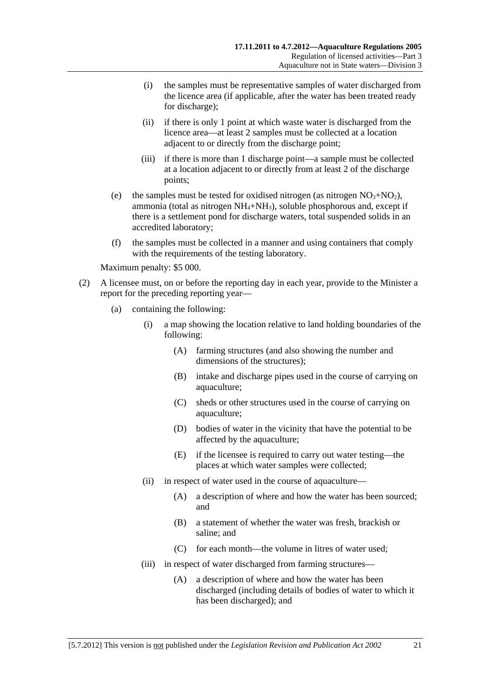- (i) the samples must be representative samples of water discharged from the licence area (if applicable, after the water has been treated ready for discharge);
- (ii) if there is only 1 point at which waste water is discharged from the licence area—at least 2 samples must be collected at a location adjacent to or directly from the discharge point;
- (iii) if there is more than 1 discharge point—a sample must be collected at a location adjacent to or directly from at least 2 of the discharge points;
- (e) the samples must be tested for oxidised nitrogen (as nitrogen  $NO<sub>3</sub>+NO<sub>2</sub>$ ), ammonia (total as nitrogen  $NH_4+NH_3$ ), soluble phosphorous and, except if there is a settlement pond for discharge waters, total suspended solids in an accredited laboratory;
- (f) the samples must be collected in a manner and using containers that comply with the requirements of the testing laboratory.

- (2) A licensee must, on or before the reporting day in each year, provide to the Minister a report for the preceding reporting year—
	- (a) containing the following:
		- (i) a map showing the location relative to land holding boundaries of the following:
			- (A) farming structures (and also showing the number and dimensions of the structures);
			- (B) intake and discharge pipes used in the course of carrying on aquaculture;
			- (C) sheds or other structures used in the course of carrying on aquaculture;
			- (D) bodies of water in the vicinity that have the potential to be affected by the aquaculture;
			- (E) if the licensee is required to carry out water testing—the places at which water samples were collected;
		- (ii) in respect of water used in the course of aquaculture—
			- (A) a description of where and how the water has been sourced; and
			- (B) a statement of whether the water was fresh, brackish or saline; and
			- (C) for each month—the volume in litres of water used;
		- (iii) in respect of water discharged from farming structures—
			- (A) a description of where and how the water has been discharged (including details of bodies of water to which it has been discharged); and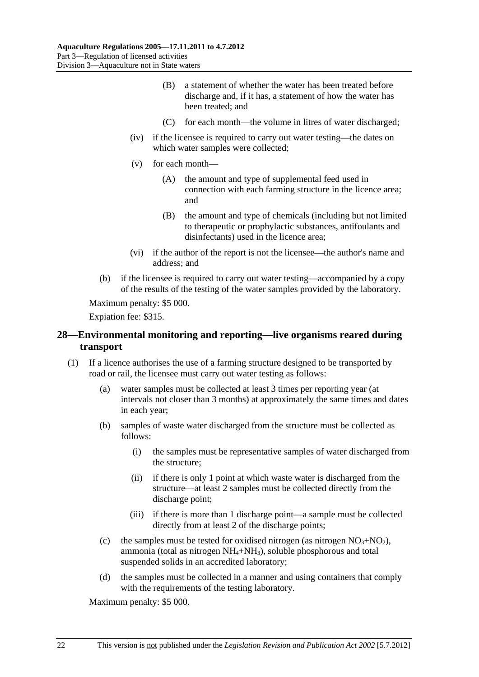- <span id="page-21-0"></span> (B) a statement of whether the water has been treated before discharge and, if it has, a statement of how the water has been treated; and
- (C) for each month—the volume in litres of water discharged;
- (iv) if the licensee is required to carry out water testing—the dates on which water samples were collected;
- (v) for each month—
	- (A) the amount and type of supplemental feed used in connection with each farming structure in the licence area; and
	- (B) the amount and type of chemicals (including but not limited to therapeutic or prophylactic substances, antifoulants and disinfectants) used in the licence area;
- (vi) if the author of the report is not the licensee—the author's name and address; and
- (b) if the licensee is required to carry out water testing—accompanied by a copy of the results of the testing of the water samples provided by the laboratory.

Expiation fee: \$315.

## **28—Environmental monitoring and reporting—live organisms reared during transport**

- (1) If a licence authorises the use of a farming structure designed to be transported by road or rail, the licensee must carry out water testing as follows:
	- (a) water samples must be collected at least 3 times per reporting year (at intervals not closer than 3 months) at approximately the same times and dates in each year;
	- (b) samples of waste water discharged from the structure must be collected as follows:
		- (i) the samples must be representative samples of water discharged from the structure;
		- (ii) if there is only 1 point at which waste water is discharged from the structure—at least 2 samples must be collected directly from the discharge point;
		- (iii) if there is more than 1 discharge point—a sample must be collected directly from at least 2 of the discharge points;
	- (c) the samples must be tested for oxidised nitrogen (as nitrogen  $NO<sub>3</sub>+NO<sub>2</sub>$ ), ammonia (total as nitrogen  $NH_4+NH_3$ ), soluble phosphorous and total suspended solids in an accredited laboratory;
	- (d) the samples must be collected in a manner and using containers that comply with the requirements of the testing laboratory.

Maximum penalty: \$5 000.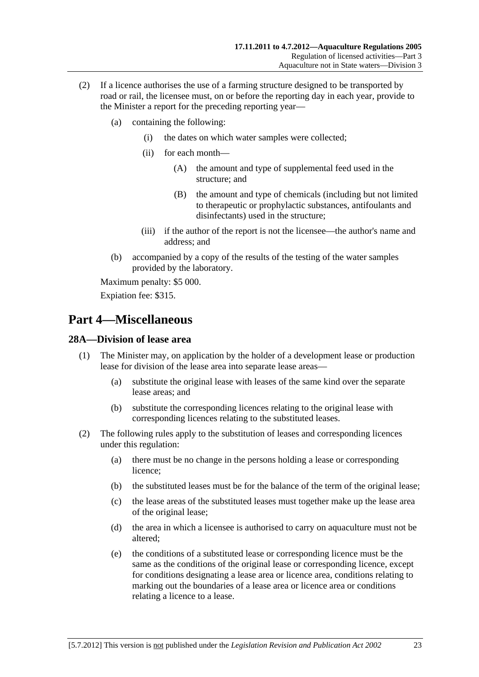- <span id="page-22-0"></span> (2) If a licence authorises the use of a farming structure designed to be transported by road or rail, the licensee must, on or before the reporting day in each year, provide to the Minister a report for the preceding reporting year—
	- (a) containing the following:
		- (i) the dates on which water samples were collected;
		- (ii) for each month—
			- (A) the amount and type of supplemental feed used in the structure; and
			- (B) the amount and type of chemicals (including but not limited to therapeutic or prophylactic substances, antifoulants and disinfectants) used in the structure;
		- (iii) if the author of the report is not the licensee—the author's name and address; and
	- (b) accompanied by a copy of the results of the testing of the water samples provided by the laboratory.

Expiation fee: \$315.

# **Part 4—Miscellaneous**

## **28A—Division of lease area**

- (1) The Minister may, on application by the holder of a development lease or production lease for division of the lease area into separate lease areas—
	- (a) substitute the original lease with leases of the same kind over the separate lease areas; and
	- (b) substitute the corresponding licences relating to the original lease with corresponding licences relating to the substituted leases.
- (2) The following rules apply to the substitution of leases and corresponding licences under this regulation:
	- (a) there must be no change in the persons holding a lease or corresponding licence;
	- (b) the substituted leases must be for the balance of the term of the original lease;
	- (c) the lease areas of the substituted leases must together make up the lease area of the original lease;
	- (d) the area in which a licensee is authorised to carry on aquaculture must not be altered;
	- (e) the conditions of a substituted lease or corresponding licence must be the same as the conditions of the original lease or corresponding licence, except for conditions designating a lease area or licence area, conditions relating to marking out the boundaries of a lease area or licence area or conditions relating a licence to a lease.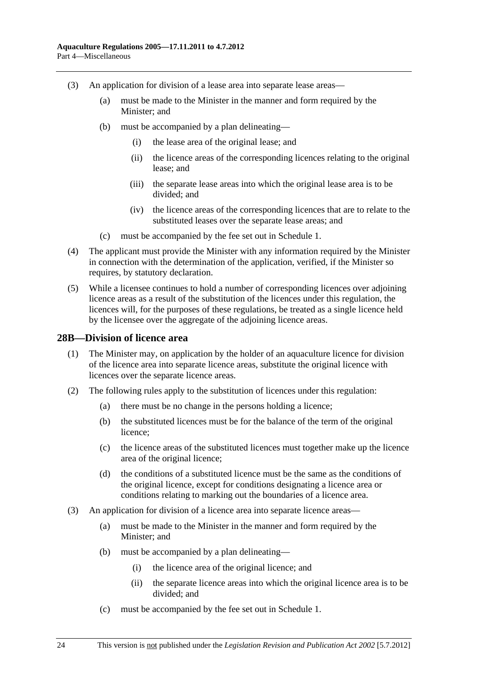- <span id="page-23-0"></span> (3) An application for division of a lease area into separate lease areas—
	- (a) must be made to the Minister in the manner and form required by the Minister; and
	- (b) must be accompanied by a plan delineating—
		- (i) the lease area of the original lease; and
		- (ii) the licence areas of the corresponding licences relating to the original lease; and
		- (iii) the separate lease areas into which the original lease area is to be divided; and
		- (iv) the licence areas of the corresponding licences that are to relate to the substituted leases over the separate lease areas; and
	- (c) must be accompanied by the fee set out in [Schedule 1.](#page-27-0)
- (4) The applicant must provide the Minister with any information required by the Minister in connection with the determination of the application, verified, if the Minister so requires, by statutory declaration.
- (5) While a licensee continues to hold a number of corresponding licences over adjoining licence areas as a result of the substitution of the licences under this regulation, the licences will, for the purposes of these regulations, be treated as a single licence held by the licensee over the aggregate of the adjoining licence areas.

#### **28B—Division of licence area**

- (1) The Minister may, on application by the holder of an aquaculture licence for division of the licence area into separate licence areas, substitute the original licence with licences over the separate licence areas.
- (2) The following rules apply to the substitution of licences under this regulation:
	- (a) there must be no change in the persons holding a licence;
	- (b) the substituted licences must be for the balance of the term of the original licence;
	- (c) the licence areas of the substituted licences must together make up the licence area of the original licence;
	- (d) the conditions of a substituted licence must be the same as the conditions of the original licence, except for conditions designating a licence area or conditions relating to marking out the boundaries of a licence area.
- (3) An application for division of a licence area into separate licence areas—
	- (a) must be made to the Minister in the manner and form required by the Minister; and
	- (b) must be accompanied by a plan delineating—
		- (i) the licence area of the original licence; and
		- (ii) the separate licence areas into which the original licence area is to be divided; and
	- (c) must be accompanied by the fee set out in [Schedule 1.](#page-27-0)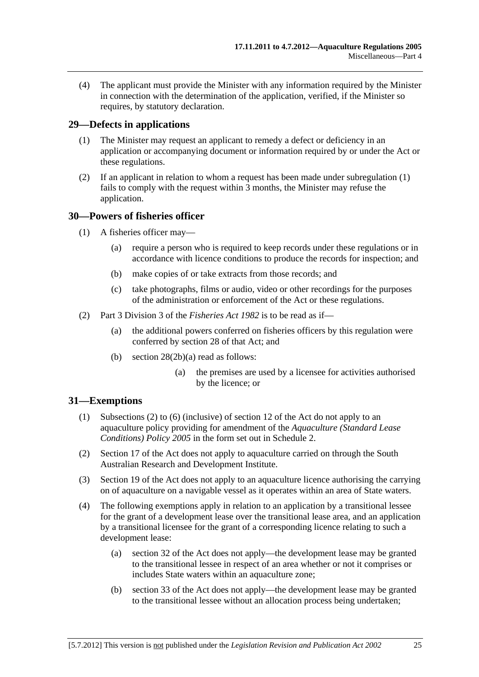<span id="page-24-0"></span> (4) The applicant must provide the Minister with any information required by the Minister in connection with the determination of the application, verified, if the Minister so requires, by statutory declaration.

#### **29—Defects in applications**

- (1) The Minister may request an applicant to remedy a defect or deficiency in an application or accompanying document or information required by or under the Act or these regulations.
- (2) If an applicant in relation to whom a request has been made under [subregulation \(1\)](#page-24-0)  fails to comply with the request within 3 months, the Minister may refuse the application.

### **30—Powers of fisheries officer**

- (1) A fisheries officer may—
	- (a) require a person who is required to keep records under these regulations or in accordance with licence conditions to produce the records for inspection; and
	- (b) make copies of or take extracts from those records; and
	- (c) take photographs, films or audio, video or other recordings for the purposes of the administration or enforcement of the Act or these regulations.
- (2) Part 3 Division 3 of the *[Fisheries Act 1982](http://www.legislation.sa.gov.au/index.aspx?action=legref&type=act&legtitle=Fisheries%20Act%201982)* is to be read as if—
	- (a) the additional powers conferred on fisheries officers by this regulation were conferred by section 28 of that Act; and
	- (b) section 28(2b)(a) read as follows:
		- (a) the premises are used by a licensee for activities authorised by the licence; or

#### **31—Exemptions**

- (1) Subsections (2) to (6) (inclusive) of section 12 of the Act do not apply to an aquaculture policy providing for amendment of the *[Aquaculture \(Standard Lease](http://www.legislation.sa.gov.au/index.aspx?action=legref&type=subordleg&legtitle=Aquaculture%20(Standard%20Lease%20Conditions)%20Policy%202005)  [Conditions\) Policy 2005](http://www.legislation.sa.gov.au/index.aspx?action=legref&type=subordleg&legtitle=Aquaculture%20(Standard%20Lease%20Conditions)%20Policy%202005)* in the form set out in [Schedule 2.](#page-0-0)
- (2) Section 17 of the Act does not apply to aquaculture carried on through the South Australian Research and Development Institute.
- (3) Section 19 of the Act does not apply to an aquaculture licence authorising the carrying on of aquaculture on a navigable vessel as it operates within an area of State waters.
- (4) The following exemptions apply in relation to an application by a transitional lessee for the grant of a development lease over the transitional lease area, and an application by a transitional licensee for the grant of a corresponding licence relating to such a development lease:
	- (a) section 32 of the Act does not apply—the development lease may be granted to the transitional lessee in respect of an area whether or not it comprises or includes State waters within an aquaculture zone;
	- (b) section 33 of the Act does not apply—the development lease may be granted to the transitional lessee without an allocation process being undertaken;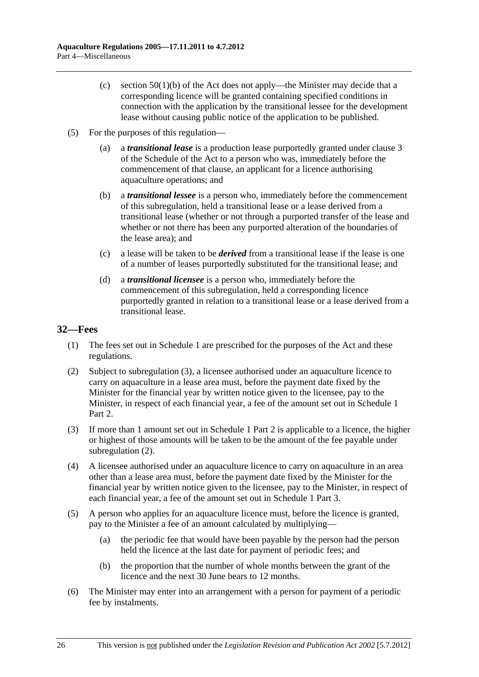- <span id="page-25-0"></span>(c) section  $50(1)(b)$  of the Act does not apply—the Minister may decide that a corresponding licence will be granted containing specified conditions in connection with the application by the transitional lessee for the development lease without causing public notice of the application to be published.
- (5) For the purposes of this regulation—
	- (a) a *transitional lease* is a production lease purportedly granted under clause 3 of the Schedule of the Act to a person who was, immediately before the commencement of that clause, an applicant for a licence authorising aquaculture operations; and
	- (b) a *transitional lessee* is a person who, immediately before the commencement of this subregulation, held a transitional lease or a lease derived from a transitional lease (whether or not through a purported transfer of the lease and whether or not there has been any purported alteration of the boundaries of the lease area); and
	- (c) a lease will be taken to be *derived* from a transitional lease if the lease is one of a number of leases purportedly substituted for the transitional lease; and
	- (d) a *transitional licensee* is a person who, immediately before the commencement of this subregulation, held a corresponding licence purportedly granted in relation to a transitional lease or a lease derived from a transitional lease.

## **32—Fees**

- (1) The fees set out in [Schedule 1](#page-27-0) are prescribed for the purposes of the Act and these regulations.
- (2) Subject to [subregulation \(3\),](#page-0-0) a licensee authorised under an aquaculture licence to carry on aquaculture in a lease area must, before the payment date fixed by the Minister for the financial year by written notice given to the licensee, pay to the Minister, in respect of each financial year, a fee of the amount set out in [Schedule 1](#page-27-0) Part 2.
- (3) If more than 1 amount set out in [Schedule 1](#page-27-0) Part 2 is applicable to a licence, the higher or highest of those amounts will be taken to be the amount of the fee payable under subregulation  $(2)$ .
- (4) A licensee authorised under an aquaculture licence to carry on aquaculture in an area other than a lease area must, before the payment date fixed by the Minister for the financial year by written notice given to the licensee, pay to the Minister, in respect of each financial year, a fee of the amount set out in [Schedule 1](#page-27-0) Part 3.
- (5) A person who applies for an aquaculture licence must, before the licence is granted, pay to the Minister a fee of an amount calculated by multiplying—
	- (a) the periodic fee that would have been payable by the person had the person held the licence at the last date for payment of periodic fees; and
	- (b) the proportion that the number of whole months between the grant of the licence and the next 30 June bears to 12 months.
- (6) The Minister may enter into an arrangement with a person for payment of a periodic fee by instalments.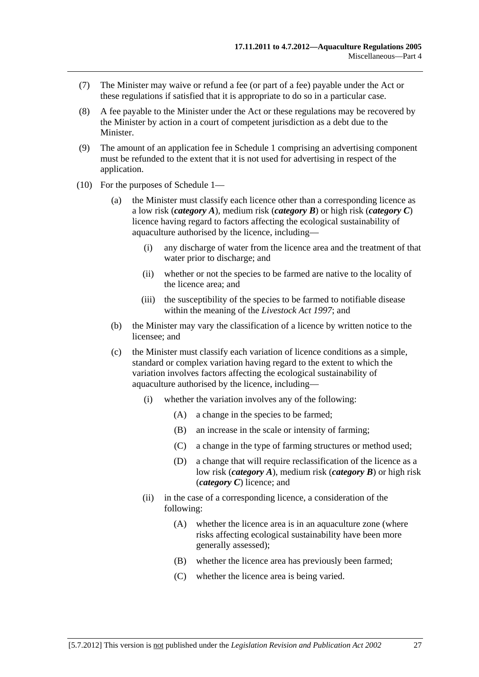- <span id="page-26-0"></span> (7) The Minister may waive or refund a fee (or part of a fee) payable under the Act or these regulations if satisfied that it is appropriate to do so in a particular case.
- (8) A fee payable to the Minister under the Act or these regulations may be recovered by the Minister by action in a court of competent jurisdiction as a debt due to the Minister.
- (9) The amount of an application fee in [Schedule 1](#page-27-0) comprising an advertising component must be refunded to the extent that it is not used for advertising in respect of the application.
- (10) For the purposes of [Schedule 1—](#page-27-0)
	- (a) the Minister must classify each licence other than a corresponding licence as a low risk (*category A*), medium risk (*category B*) or high risk (*category C*) licence having regard to factors affecting the ecological sustainability of aquaculture authorised by the licence, including—
		- (i) any discharge of water from the licence area and the treatment of that water prior to discharge; and
		- (ii) whether or not the species to be farmed are native to the locality of the licence area; and
		- (iii) the susceptibility of the species to be farmed to notifiable disease within the meaning of the *[Livestock Act 1997](http://www.legislation.sa.gov.au/index.aspx?action=legref&type=act&legtitle=Livestock%20Act%201997)*; and
	- (b) the Minister may vary the classification of a licence by written notice to the licensee; and
	- (c) the Minister must classify each variation of licence conditions as a simple, standard or complex variation having regard to the extent to which the variation involves factors affecting the ecological sustainability of aquaculture authorised by the licence, including—
		- (i) whether the variation involves any of the following:
			- (A) a change in the species to be farmed;
			- (B) an increase in the scale or intensity of farming;
			- (C) a change in the type of farming structures or method used;
			- (D) a change that will require reclassification of the licence as a low risk (*category A*), medium risk (*category B*) or high risk (*category C*) licence; and
		- (ii) in the case of a corresponding licence, a consideration of the following:
			- (A) whether the licence area is in an aquaculture zone (where risks affecting ecological sustainability have been more generally assessed);
			- (B) whether the licence area has previously been farmed;
			- (C) whether the licence area is being varied.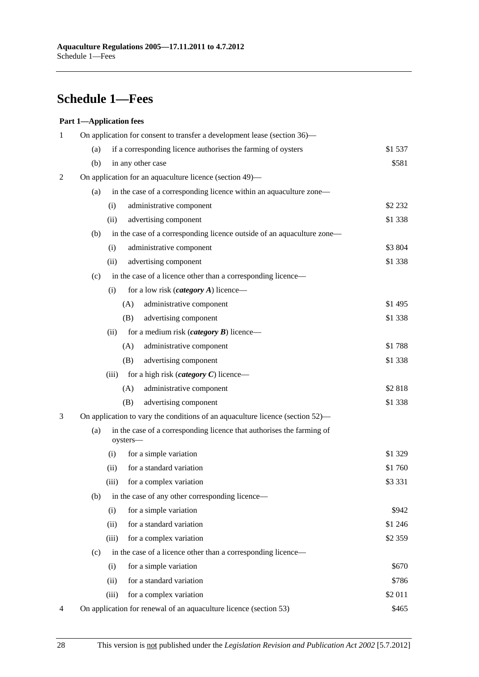# <span id="page-27-0"></span>**Schedule 1—Fees**

#### **Part 1—Application fees**

| 1 | On application for consent to transfer a development lease (section 36)-      |                                                                                   |           |  |
|---|-------------------------------------------------------------------------------|-----------------------------------------------------------------------------------|-----------|--|
|   | (a)                                                                           | if a corresponding licence authorises the farming of oysters                      |           |  |
|   | (b)                                                                           | in any other case                                                                 | \$581     |  |
| 2 |                                                                               | On application for an aquaculture licence (section 49)—                           |           |  |
|   | (a)                                                                           | in the case of a corresponding licence within an aquaculture zone—                |           |  |
|   |                                                                               | administrative component<br>(i)                                                   | \$2 2 3 2 |  |
|   |                                                                               | advertising component<br>(ii)                                                     | \$1 3 38  |  |
|   | (b)                                                                           | in the case of a corresponding licence outside of an aquaculture zone—            |           |  |
|   |                                                                               | administrative component<br>(i)                                                   | \$3 804   |  |
|   |                                                                               | advertising component<br>(ii)                                                     | \$1 3 38  |  |
|   | (c)                                                                           | in the case of a licence other than a corresponding licence-                      |           |  |
|   |                                                                               | for a low risk ( <i>category A</i> ) licence—<br>(i)                              |           |  |
|   |                                                                               | administrative component<br>(A)                                                   | \$1 495   |  |
|   |                                                                               | advertising component<br>(B)                                                      | \$1 3 38  |  |
|   |                                                                               | (ii)<br>for a medium risk ( <i>category</i> $\bm{B}$ ) licence—                   |           |  |
|   |                                                                               | (A)<br>administrative component                                                   | \$1788    |  |
|   |                                                                               | (B)<br>advertising component                                                      | \$1 338   |  |
|   |                                                                               | for a high risk ( <i>category</i> $C$ ) licence—<br>(iii)                         |           |  |
|   |                                                                               | (A)<br>administrative component                                                   | \$2818    |  |
|   |                                                                               | advertising component<br>(B)                                                      | \$1 3 38  |  |
| 3 | On application to vary the conditions of an aquaculture licence (section 52)— |                                                                                   |           |  |
|   | (a)                                                                           | in the case of a corresponding licence that authorises the farming of<br>oysters- |           |  |
|   |                                                                               | for a simple variation<br>(i)                                                     | \$1 329   |  |
|   |                                                                               | for a standard variation<br>(ii)                                                  | \$1760    |  |
|   |                                                                               | for a complex variation<br>(iii)                                                  | \$3 3 3 1 |  |
|   | (b)                                                                           | in the case of any other corresponding licence—                                   |           |  |
|   |                                                                               | for a simple variation<br>(i)                                                     | \$942     |  |
|   |                                                                               | for a standard variation<br>(ii)                                                  | \$1 246   |  |
|   |                                                                               | (iii)<br>for a complex variation                                                  | \$2 3 5 9 |  |
|   | (c)                                                                           | in the case of a licence other than a corresponding licence—                      |           |  |
|   |                                                                               | for a simple variation<br>(i)                                                     | \$670     |  |
|   |                                                                               | for a standard variation<br>(ii)                                                  | \$786     |  |
|   |                                                                               | for a complex variation<br>(iii)                                                  | \$2 011   |  |
| 4 |                                                                               | On application for renewal of an aquaculture licence (section 53)                 | \$465     |  |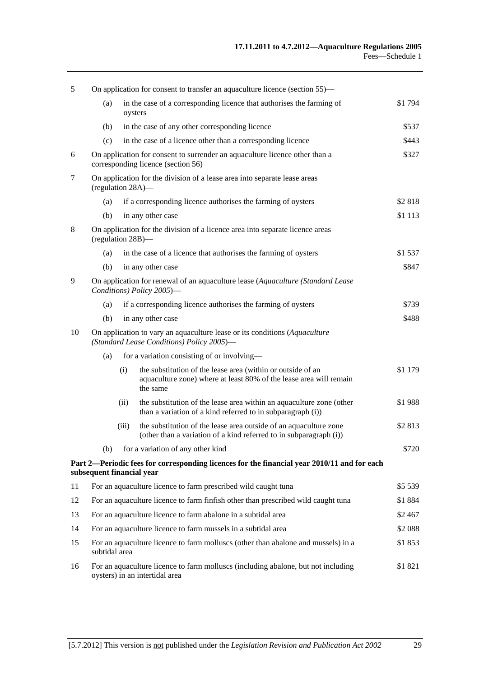| 5  | On application for consent to transfer an aquaculture licence (section 55)—                                             |                                                                                                                   |                                                                                                                                               |           |
|----|-------------------------------------------------------------------------------------------------------------------------|-------------------------------------------------------------------------------------------------------------------|-----------------------------------------------------------------------------------------------------------------------------------------------|-----------|
|    | (a)                                                                                                                     | oysters                                                                                                           | in the case of a corresponding licence that authorises the farming of                                                                         | \$1 794   |
|    | (b)                                                                                                                     |                                                                                                                   | in the case of any other corresponding licence                                                                                                | \$537     |
|    | (c)                                                                                                                     |                                                                                                                   | in the case of a licence other than a corresponding licence                                                                                   | \$443     |
| 6  |                                                                                                                         | On application for consent to surrender an aquaculture licence other than a<br>corresponding licence (section 56) |                                                                                                                                               | \$327     |
| 7  | (regulation 28A)—                                                                                                       |                                                                                                                   | On application for the division of a lease area into separate lease areas                                                                     |           |
|    | (a)                                                                                                                     |                                                                                                                   | if a corresponding licence authorises the farming of oysters                                                                                  | \$2818    |
|    | (b)                                                                                                                     |                                                                                                                   | in any other case                                                                                                                             | \$1 1 1 3 |
| 8  | On application for the division of a licence area into separate licence areas<br>(regulation 28B)-                      |                                                                                                                   |                                                                                                                                               |           |
|    | (a)                                                                                                                     |                                                                                                                   | in the case of a licence that authorises the farming of oysters                                                                               | \$1 537   |
|    | (b)                                                                                                                     |                                                                                                                   | in any other case                                                                                                                             | \$847     |
| 9  | On application for renewal of an aquaculture lease (Aquaculture (Standard Lease<br>Conditions) Policy 2005)-            |                                                                                                                   |                                                                                                                                               |           |
|    | (a)                                                                                                                     |                                                                                                                   | if a corresponding licence authorises the farming of oysters                                                                                  | \$739     |
|    | in any other case<br>(b)                                                                                                |                                                                                                                   |                                                                                                                                               | \$488     |
| 10 | On application to vary an aquaculture lease or its conditions (Aquaculture<br>(Standard Lease Conditions) Policy 2005)- |                                                                                                                   |                                                                                                                                               |           |
|    | for a variation consisting of or involving-<br>(a)                                                                      |                                                                                                                   |                                                                                                                                               |           |
|    |                                                                                                                         | (i)                                                                                                               | the substitution of the lease area (within or outside of an<br>aquaculture zone) where at least 80% of the lease area will remain<br>the same | \$1 179   |
|    |                                                                                                                         | (ii)                                                                                                              | the substitution of the lease area within an aquaculture zone (other<br>than a variation of a kind referred to in subparagraph (i))           | \$1988    |
|    |                                                                                                                         | (iii)                                                                                                             | the substitution of the lease area outside of an aquaculture zone<br>(other than a variation of a kind referred to in subparagraph (i))       | \$2813    |
|    | (b)                                                                                                                     |                                                                                                                   | for a variation of any other kind                                                                                                             | \$720     |
|    | subsequent financial year                                                                                               |                                                                                                                   | Part 2—Periodic fees for corresponding licences for the financial year 2010/11 and for each                                                   |           |
| 11 |                                                                                                                         |                                                                                                                   | For an aquaculture licence to farm prescribed wild caught tuna                                                                                | \$5 5 39  |
| 12 |                                                                                                                         |                                                                                                                   | For an aquaculture licence to farm finfish other than prescribed wild caught tuna                                                             | \$1884    |
| 13 | For an aquaculture licence to farm abalone in a subtidal area                                                           |                                                                                                                   | \$2 467                                                                                                                                       |           |
| 14 | For an aquaculture licence to farm mussels in a subtidal area                                                           |                                                                                                                   |                                                                                                                                               | \$2 088   |
| 15 | For an aquaculture licence to farm molluscs (other than abalone and mussels) in a<br>subtidal area                      |                                                                                                                   |                                                                                                                                               | \$1853    |
| 16 | For an aquaculture licence to farm molluscs (including abalone, but not including<br>oysters) in an intertidal area     |                                                                                                                   | \$1821                                                                                                                                        |           |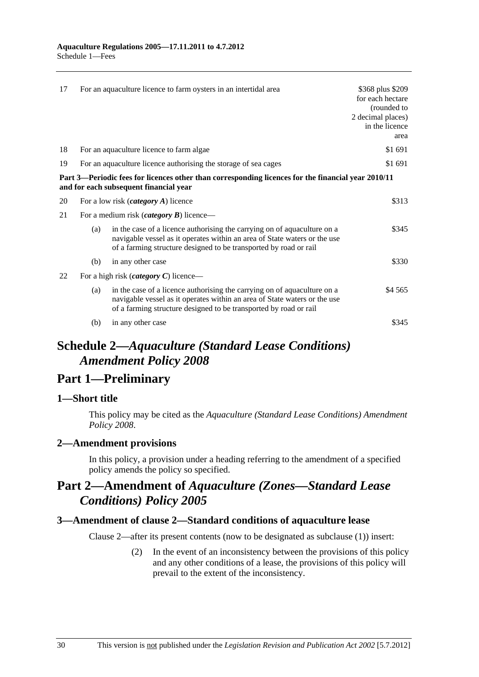<span id="page-29-0"></span>

| 17 |                                                                 | For an aquaculture licence to farm oysters in an intertidal area                                                                                                                                                           | \$368 plus \$209<br>for each hectare<br>(rounded to<br>2 decimal places)<br>in the licence<br>area |
|----|-----------------------------------------------------------------|----------------------------------------------------------------------------------------------------------------------------------------------------------------------------------------------------------------------------|----------------------------------------------------------------------------------------------------|
| 18 |                                                                 | For an aquaculture licence to farm algae                                                                                                                                                                                   | \$1 691                                                                                            |
| 19 | For an aquaculture licence authorising the storage of sea cages |                                                                                                                                                                                                                            |                                                                                                    |
|    |                                                                 | Part 3—Periodic fees for licences other than corresponding licences for the financial year 2010/11<br>and for each subsequent financial year                                                                               |                                                                                                    |
| 20 | For a low risk $(category A)$ licence                           |                                                                                                                                                                                                                            | \$313                                                                                              |
| 21 | For a medium risk ( <i>category B</i> ) licence—                |                                                                                                                                                                                                                            |                                                                                                    |
|    | (a)                                                             | in the case of a licence authorising the carrying on of aquaculture on a<br>navigable vessel as it operates within an area of State waters or the use<br>of a farming structure designed to be transported by road or rail | \$345                                                                                              |
|    | (b)                                                             | in any other case                                                                                                                                                                                                          | \$330                                                                                              |
| 22 | For a high risk ( <i>category C</i> ) licence—                  |                                                                                                                                                                                                                            |                                                                                                    |
|    | (a)                                                             | in the case of a licence authorising the carrying on of aquaculture on a<br>navigable vessel as it operates within an area of State waters or the use<br>of a farming structure designed to be transported by road or rail | \$4 5 6 5                                                                                          |
|    | (b)                                                             | in any other case                                                                                                                                                                                                          | \$345                                                                                              |

# **Schedule 2—***Aquaculture (Standard Lease Conditions) Amendment Policy 2008*

# **Part 1—Preliminary**

## **1—Short title**

This policy may be cited as the *[Aquaculture \(Standard Lease Conditions\) Amendment](http://www.legislation.sa.gov.au/index.aspx?action=legref&type=subordleg&legtitle=Aquaculture%20(Standard%20Lease%20Conditions)%20Amendment%20Policy%202008)  [Policy 2008](http://www.legislation.sa.gov.au/index.aspx?action=legref&type=subordleg&legtitle=Aquaculture%20(Standard%20Lease%20Conditions)%20Amendment%20Policy%202008)*.

## **2—Amendment provisions**

In this policy, a provision under a heading referring to the amendment of a specified policy amends the policy so specified.

# **Part 2—Amendment of** *Aquaculture (Zones—Standard Lease Conditions) Policy 2005*

## **3—Amendment of clause 2—Standard conditions of aquaculture lease**

Clause 2—after its present contents (now to be designated as subclause (1)) insert:

 (2) In the event of an inconsistency between the provisions of this policy and any other conditions of a lease, the provisions of this policy will prevail to the extent of the inconsistency.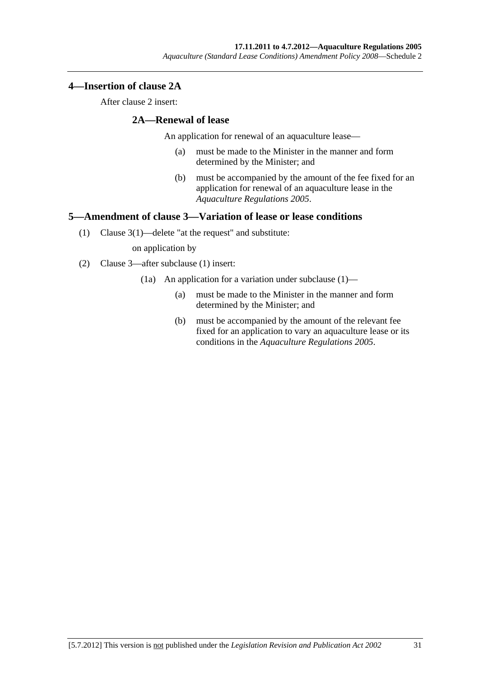## <span id="page-30-0"></span>**4—Insertion of clause 2A**

After clause 2 insert:

## **2A—Renewal of lease**

An application for renewal of an aquaculture lease—

- (a) must be made to the Minister in the manner and form determined by the Minister; and
- (b) must be accompanied by the amount of the fee fixed for an application for renewal of an aquaculture lease in the *[Aquaculture Regulations 2005](http://www.legislation.sa.gov.au/index.aspx?action=legref&type=subordleg&legtitle=Aquaculture%20Regulations%202005)*.

## **5—Amendment of clause 3—Variation of lease or lease conditions**

(1) Clause 3(1)—delete "at the request" and substitute:

on application by

- (2) Clause 3—after subclause (1) insert:
	- (1a) An application for a variation under subclause (1)—
		- (a) must be made to the Minister in the manner and form determined by the Minister; and
		- (b) must be accompanied by the amount of the relevant fee fixed for an application to vary an aquaculture lease or its conditions in the *[Aquaculture Regulations 2005](http://www.legislation.sa.gov.au/index.aspx?action=legref&type=subordleg&legtitle=Aquaculture%20Regulations%202005)*.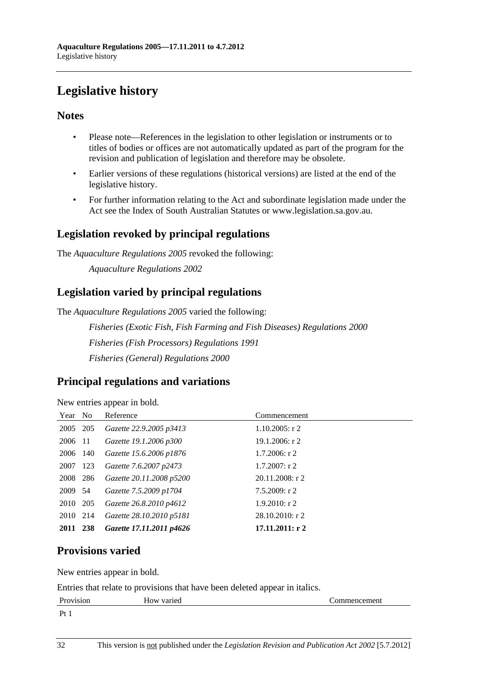# <span id="page-31-0"></span>**Legislative history**

## **Notes**

- Please note—References in the legislation to other legislation or instruments or to titles of bodies or offices are not automatically updated as part of the program for the revision and publication of legislation and therefore may be obsolete.
- Earlier versions of these regulations (historical versions) are listed at the end of the legislative history.
- For further information relating to the Act and subordinate legislation made under the Act see the Index of South Australian Statutes or www.legislation.sa.gov.au.

# **Legislation revoked by principal regulations**

The *Aquaculture Regulations 2005* revoked the following:

*Aquaculture Regulations 2002*

# **Legislation varied by principal regulations**

The *Aquaculture Regulations 2005* varied the following:

*Fisheries (Exotic Fish, Fish Farming and Fish Diseases) Regulations 2000 Fisheries (Fish Processors) Regulations 1991 Fisheries (General) Regulations 2000*

# **Principal regulations and variations**

New entries appear in bold.

| Year No  | Reference                | Commencement       |
|----------|--------------------------|--------------------|
| 2005 205 | Gazette 22.9.2005 p3413  | $1.10.2005$ : r 2  |
| 2006 11  | Gazette 19.1.2006 p300   | $19.1.2006$ : r 2  |
| 2006 140 | Gazette 15.6.2006 p1876  | $1.7.2006$ : r 2   |
| 2007 123 | Gazette 7.6.2007 p2473   | $1.7.2007:$ r 2    |
| 2008 286 | Gazette 20.11.2008 p5200 | $20.11.2008$ : r 2 |
| 2009 54  | Gazette 7.5.2009 p1704   | 7.5.2009: r2       |
| 2010 205 | Gazette 26.8.2010 p4612  | $1.9.2010$ : r 2   |
| 2010 214 | Gazette 28.10.2010 p5181 | $28.10.2010$ : r 2 |
| 2011 238 | Gazette 17.11.2011 p4626 | 17.11.2011: r2     |

# **Provisions varied**

New entries appear in bold.

Entries that relate to provisions that have been deleted appear in italics.

| Provision                 | v v<br>How varied | 'ommencement |
|---------------------------|-------------------|--------------|
| $\mathbf{D}_{\mathbf{f}}$ |                   |              |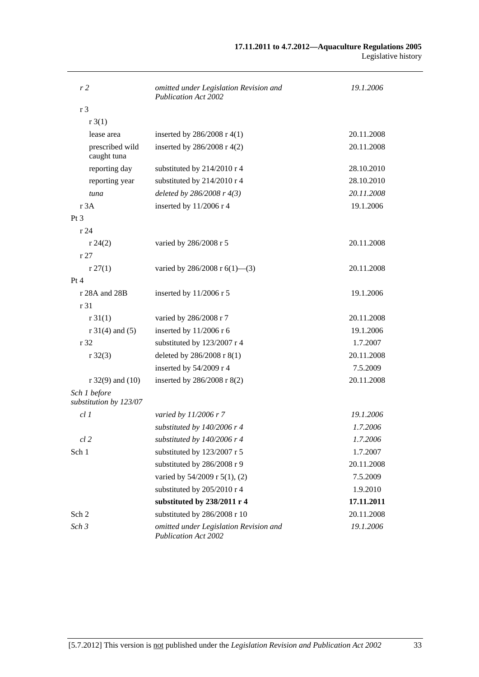| r 2                                    | omitted under Legislation Revision and<br><b>Publication Act 2002</b> | 19.1.2006  |
|----------------------------------------|-----------------------------------------------------------------------|------------|
| r <sub>3</sub>                         |                                                                       |            |
| r3(1)                                  |                                                                       |            |
| lease area                             | inserted by $286/2008$ r 4(1)                                         | 20.11.2008 |
| prescribed wild<br>caught tuna         | inserted by $286/2008$ r 4(2)                                         | 20.11.2008 |
| reporting day                          | substituted by 214/2010 r 4                                           | 28.10.2010 |
| reporting year                         | substituted by 214/2010 r 4                                           | 28.10.2010 |
| tuna                                   | deleted by $286/2008$ r $4(3)$                                        | 20.11.2008 |
| r 3A                                   | inserted by 11/2006 r 4                                               | 19.1.2006  |
| $Pt\,3$                                |                                                                       |            |
| r24                                    |                                                                       |            |
| r 24(2)                                | varied by 286/2008 r 5                                                | 20.11.2008 |
| r27                                    |                                                                       |            |
| r 27(1)                                | varied by 286/2008 r $6(1)$ —(3)                                      | 20.11.2008 |
| Pt 4                                   |                                                                       |            |
| r 28A and 28B                          | inserted by 11/2006 r 5                                               | 19.1.2006  |
| r 31                                   |                                                                       |            |
| r 31(1)                                | varied by 286/2008 r 7                                                | 20.11.2008 |
| $r 31(4)$ and (5)                      | inserted by $11/2006$ r 6                                             | 19.1.2006  |
| r 32                                   | substituted by 123/2007 r 4                                           | 1.7.2007   |
| $r \, 32(3)$                           | deleted by 286/2008 r 8(1)                                            | 20.11.2008 |
|                                        | inserted by 54/2009 r 4                                               | 7.5.2009   |
| $r$ 32(9) and (10)                     | inserted by 286/2008 r 8(2)                                           | 20.11.2008 |
| Sch 1 before<br>substitution by 123/07 |                                                                       |            |
| cl1                                    | varied by 11/2006 r 7                                                 | 19.1.2006  |
|                                        | substituted by 140/2006 r 4                                           | 1.7.2006   |
| cl 2                                   | substituted by $140/2006$ r 4                                         | 1.7.2006   |
| Sch 1                                  | substituted by 123/2007 r 5                                           | 1.7.2007   |
|                                        | substituted by 286/2008 r 9                                           | 20.11.2008 |
|                                        | varied by 54/2009 r 5(1), (2)                                         | 7.5.2009   |
|                                        | substituted by 205/2010 r 4                                           | 1.9.2010   |
|                                        | substituted by 238/2011 r 4                                           | 17.11.2011 |
| Sch 2                                  | substituted by 286/2008 r 10                                          | 20.11.2008 |
| Sch <sub>3</sub>                       | omitted under Legislation Revision and<br><b>Publication Act 2002</b> | 19.1.2006  |